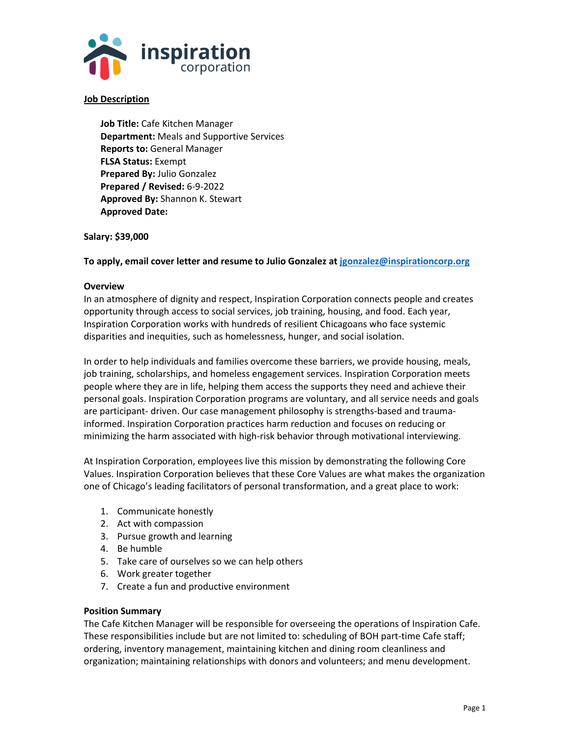

# **Job Description**

**Job Title:** Cafe Kitchen Manager **Department:** Meals and Supportive Services **Reports to:** General Manager **FLSA Status:** Exempt **Prepared By:** Julio Gonzalez **Prepared / Revised:** 6-9-2022 **Approved By:** Shannon K. Stewart **Approved Date:** 

## **Salary: \$39,000**

**To apply, email cover letter and resume to Julio Gonzalez at [jgonzalez@inspirationcorp.org](mailto:jgonzalez@inspirationcorp.org)**

#### **Overview**

In an atmosphere of dignity and respect, Inspiration Corporation connects people and creates opportunity through access to social services, job training, housing, and food. Each year, Inspiration Corporation works with hundreds of resilient Chicagoans who face systemic disparities and inequities, such as homelessness, hunger, and social isolation.

In order to help individuals and families overcome these barriers, we provide housing, meals, job training, scholarships, and homeless engagement services. Inspiration Corporation meets people where they are in life, helping them access the supports they need and achieve their personal goals. Inspiration Corporation programs are voluntary, and all service needs and goals are participant- driven. Our case management philosophy is strengths-based and traumainformed. Inspiration Corporation practices harm reduction and focuses on reducing or minimizing the harm associated with high-risk behavior through motivational interviewing.

At Inspiration Corporation, employees live this mission by demonstrating the following Core Values. Inspiration Corporation believes that these Core Values are what makes the organization one of Chicago's leading facilitators of personal transformation, and a great place to work:

- 1. Communicate honestly
- 2. Act with compassion
- 3. Pursue growth and learning
- 4. Be humble
- 5. Take care of ourselves so we can help others
- 6. Work greater together
- 7. Create a fun and productive environment

#### **Position Summary**

The Cafe Kitchen Manager will be responsible for overseeing the operations of Inspiration Cafe. These responsibilities include but are not limited to: scheduling of BOH part-time Cafe staff; ordering, inventory management, maintaining kitchen and dining room cleanliness and organization; maintaining relationships with donors and volunteers; and menu development.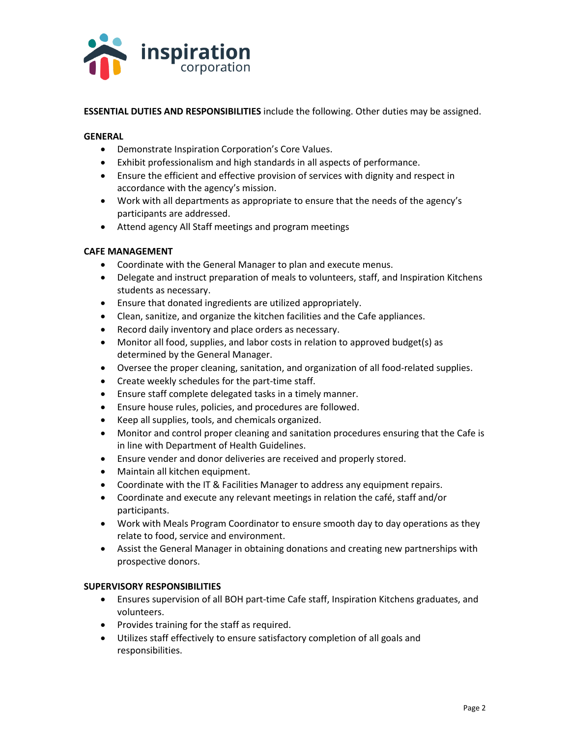

**ESSENTIAL DUTIES AND RESPONSIBILITIES** include the following. Other duties may be assigned.

## **GENERAL**

- Demonstrate Inspiration Corporation's Core Values.
- Exhibit professionalism and high standards in all aspects of performance.
- Ensure the efficient and effective provision of services with dignity and respect in accordance with the agency's mission.
- Work with all departments as appropriate to ensure that the needs of the agency's participants are addressed.
- Attend agency All Staff meetings and program meetings

## **CAFE MANAGEMENT**

- Coordinate with the General Manager to plan and execute menus.
- Delegate and instruct preparation of meals to volunteers, staff, and Inspiration Kitchens students as necessary.
- Ensure that donated ingredients are utilized appropriately.
- Clean, sanitize, and organize the kitchen facilities and the Cafe appliances.
- Record daily inventory and place orders as necessary.
- Monitor all food, supplies, and labor costs in relation to approved budget(s) as determined by the General Manager.
- Oversee the proper cleaning, sanitation, and organization of all food-related supplies.
- Create weekly schedules for the part-time staff.
- Ensure staff complete delegated tasks in a timely manner.
- Ensure house rules, policies, and procedures are followed.
- Keep all supplies, tools, and chemicals organized.
- Monitor and control proper cleaning and sanitation procedures ensuring that the Cafe is in line with Department of Health Guidelines.
- Ensure vender and donor deliveries are received and properly stored.
- Maintain all kitchen equipment.
- Coordinate with the IT & Facilities Manager to address any equipment repairs.
- Coordinate and execute any relevant meetings in relation the café, staff and/or participants.
- Work with Meals Program Coordinator to ensure smooth day to day operations as they relate to food, service and environment.
- Assist the General Manager in obtaining donations and creating new partnerships with prospective donors.

#### **SUPERVISORY RESPONSIBILITIES**

- Ensures supervision of all BOH part-time Cafe staff, Inspiration Kitchens graduates, and volunteers.
- Provides training for the staff as required.
- Utilizes staff effectively to ensure satisfactory completion of all goals and responsibilities.